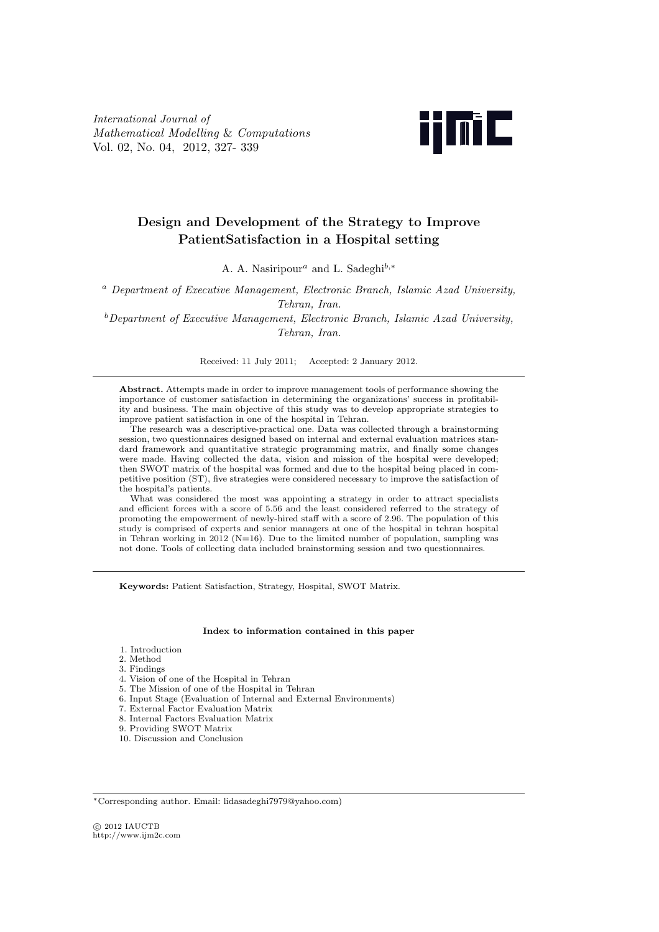*International Journal of Mathematical Modelling* & *Computations* Vol. 02, No. 04, 2012, 327- 339



# **Design and Development of the Strategy to Improve PatientSatisfaction in a Hospital setting**

A. A. Nasiripour*<sup>a</sup>* and L. Sadeghi*b,<sup>∗</sup>*

*<sup>a</sup> Department of Executive Management, Electronic Branch, Islamic Azad University, Tehran, Iran.*

*<sup>b</sup>Department of Executive Management, Electronic Branch, Islamic Azad University, Tehran, Iran.*

Received: 11 July 2011; Accepted: 2 January 2012.

**Abstract.** Attempts made in order to improve management tools of performance showing the importance of customer satisfaction in determining the organizations' success in profitability and business. The main objective of this study was to develop appropriate strategies to improve patient satisfaction in one of the hospital in Tehran.

The research was a descriptive-practical one. Data was collected through a brainstorming session, two questionnaires designed based on internal and external evaluation matrices standard framework and quantitative strategic programming matrix, and finally some changes were made. Having collected the data, vision and mission of the hospital were developed; then SWOT matrix of the hospital was formed and due to the hospital being placed in competitive position (ST), five strategies were considered necessary to improve the satisfaction of the hospital's patients.

What was considered the most was appointing a strategy in order to attract specialists and efficient forces with a score of 5.56 and the least considered referred to the strategy of promoting the empowerment of newly-hired staff with a score of 2.96. The population of this study is comprised of experts and senior managers at one of the hospital in tehran hospital in Tehran working in 2012 ( $N=16$ ). Due to the limited number of population, sampling was not done. Tools of collecting data included brainstorming session and two questionnaires.

**Keywords:** Patient Satisfaction, Strategy, Hospital, SWOT Matrix.

#### **Index to information contained in this paper**

- 1. Introduction
- 2. Method
- 3. Findings
- 4. Vision of one of the Hospital in Tehran
- 5. The Mission of one of the Hospital in Tehran
- 6. Input Stage (Evaluation of Internal and External Environments)
- 7. External Factor Evaluation Matrix
- 8. Internal Factors Evaluation Matrix
- 9. Providing SWOT Matrix
- 10. Discussion and Conclusion

*⃝*c 2012 IAUCTB http://www.ijm2c.com

*<sup>∗</sup>*Corresponding author. Email: lidasadeghi7979@yahoo.com)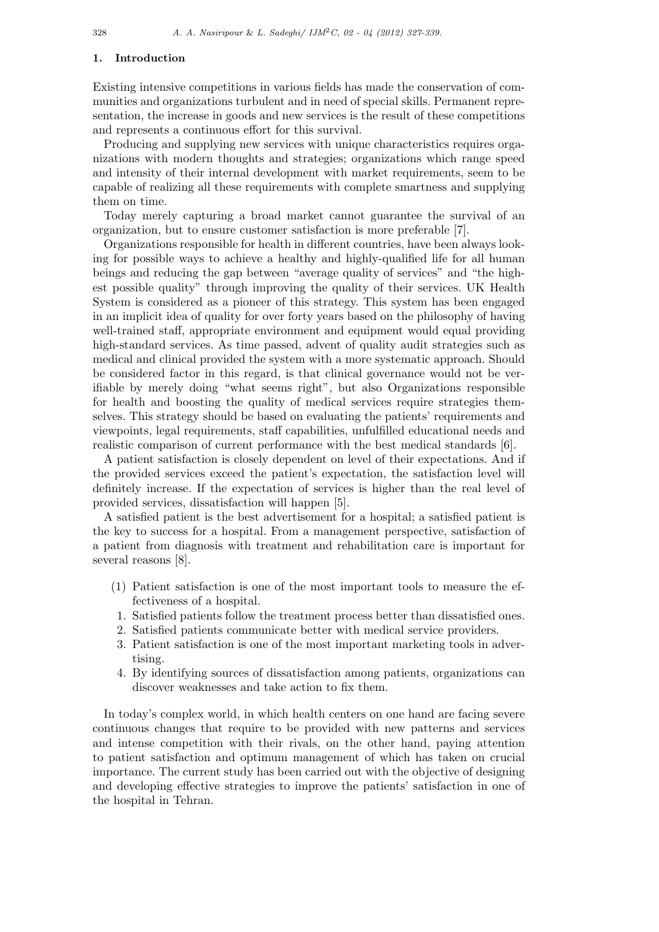### **1. Introduction**

Existing intensive competitions in various fields has made the conservation of communities and organizations turbulent and in need of special skills. Permanent representation, the increase in goods and new services is the result of these competitions and represents a continuous effort for this survival.

Producing and supplying new services with unique characteristics requires organizations with modern thoughts and strategies; organizations which range speed and intensity of their internal development with market requirements, seem to be capable of realizing all these requirements with complete smartness and supplying them on time.

Today merely capturing a broad market cannot guarantee the survival of an organization, but to ensure customer satisfaction is more preferable [7].

Organizations responsible for health in different countries, have been always looking for possible ways to achieve a healthy and highly-qualified life for all human beings and reducing the gap between "average quality of services" and "the highest possible quality" through improving the quality of their services. UK Health System is considered as a pioneer of this strategy. This system has been engaged in an implicit idea of quality for over forty years based on the philosophy of having well-trained staff, appropriate environment and equipment would equal providing high-standard services. As time passed, advent of quality audit strategies such as medical and clinical provided the system with a more systematic approach. Should be considered factor in this regard, is that clinical governance would not be verifiable by merely doing "what seems right", but also Organizations responsible for health and boosting the quality of medical services require strategies themselves. This strategy should be based on evaluating the patients' requirements and viewpoints, legal requirements, staff capabilities, unfulfilled educational needs and realistic comparison of current performance with the best medical standards [6].

A patient satisfaction is closely dependent on level of their expectations. And if the provided services exceed the patient's expectation, the satisfaction level will definitely increase. If the expectation of services is higher than the real level of provided services, dissatisfaction will happen [5].

A satisfied patient is the best advertisement for a hospital; a satisfied patient is the key to success for a hospital. From a management perspective, satisfaction of a patient from diagnosis with treatment and rehabilitation care is important for several reasons [8].

- (1) Patient satisfaction is one of the most important tools to measure the effectiveness of a hospital.
- 1. Satisfied patients follow the treatment process better than dissatisfied ones.
- 2. Satisfied patients communicate better with medical service providers.
- 3. Patient satisfaction is one of the most important marketing tools in advertising.
- 4. By identifying sources of dissatisfaction among patients, organizations can discover weaknesses and take action to fix them.

In today's complex world, in which health centers on one hand are facing severe continuous changes that require to be provided with new patterns and services and intense competition with their rivals, on the other hand, paying attention to patient satisfaction and optimum management of which has taken on crucial importance. The current study has been carried out with the objective of designing and developing effective strategies to improve the patients' satisfaction in one of the hospital in Tehran.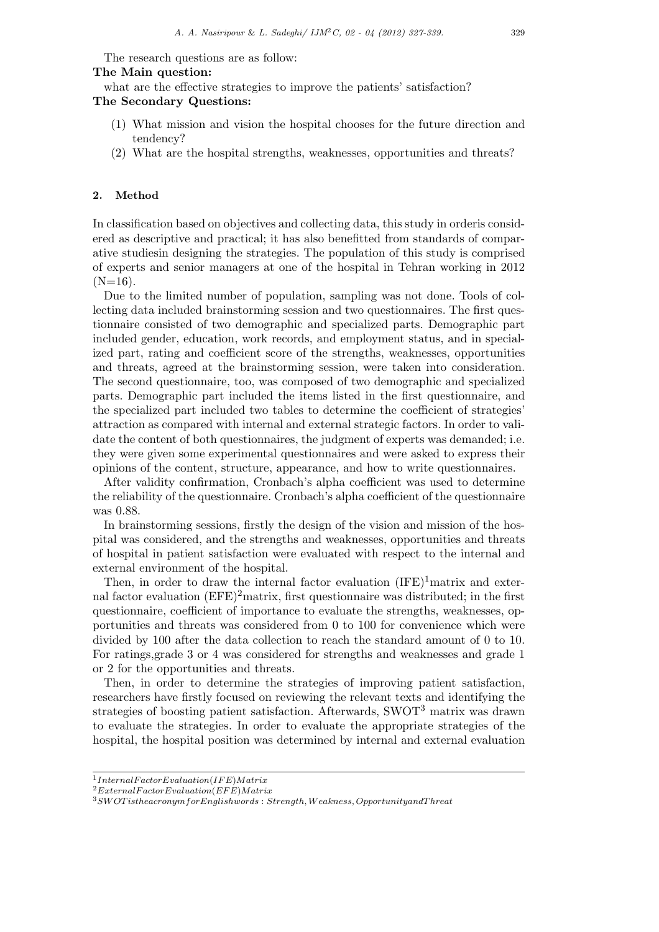The research questions are as follow:

**The Main question:**

what are the effective strategies to improve the patients' satisfaction?

### **The Secondary Questions:**

- (1) What mission and vision the hospital chooses for the future direction and tendency?
- (2) What are the hospital strengths, weaknesses, opportunities and threats?

### **2. Method**

In classification based on objectives and collecting data, this study in orderis considered as descriptive and practical; it has also benefitted from standards of comparative studiesin designing the strategies. The population of this study is comprised of experts and senior managers at one of the hospital in Tehran working in 2012  $(N=16)$ .

Due to the limited number of population, sampling was not done. Tools of collecting data included brainstorming session and two questionnaires. The first questionnaire consisted of two demographic and specialized parts. Demographic part included gender, education, work records, and employment status, and in specialized part, rating and coefficient score of the strengths, weaknesses, opportunities and threats, agreed at the brainstorming session, were taken into consideration. The second questionnaire, too, was composed of two demographic and specialized parts. Demographic part included the items listed in the first questionnaire, and the specialized part included two tables to determine the coefficient of strategies' attraction as compared with internal and external strategic factors. In order to validate the content of both questionnaires, the judgment of experts was demanded; i.e. they were given some experimental questionnaires and were asked to express their opinions of the content, structure, appearance, and how to write questionnaires.

After validity confirmation, Cronbach's alpha coefficient was used to determine the reliability of the questionnaire. Cronbach's alpha coefficient of the questionnaire was 0.88.

In brainstorming sessions, firstly the design of the vision and mission of the hospital was considered, and the strengths and weaknesses, opportunities and threats of hospital in patient satisfaction were evaluated with respect to the internal and external environment of the hospital.

Then, in order to draw the internal factor evaluation  $(IFE)^1$ matrix and external factor evaluation  $(EFE)^2$ matrix, first questionnaire was distributed; in the first questionnaire, coefficient of importance to evaluate the strengths, weaknesses, opportunities and threats was considered from 0 to 100 for convenience which were divided by 100 after the data collection to reach the standard amount of 0 to 10. For ratings,grade 3 or 4 was considered for strengths and weaknesses and grade 1 or 2 for the opportunities and threats.

Then, in order to determine the strategies of improving patient satisfaction, researchers have firstly focused on reviewing the relevant texts and identifying the strategies of boosting patient satisfaction. Afterwards, SWOT<sup>3</sup> matrix was drawn to evaluate the strategies. In order to evaluate the appropriate strategies of the hospital, the hospital position was determined by internal and external evaluation

<sup>1</sup> *InternalF actorEvaluation*(*IF E*)*Matrix*

<sup>2</sup>*ExternalF actorEvaluation*(*EF E*)*Matrix*

<sup>3</sup>*SW OT istheacronymf orEnglishwords* : *Strength, W eakness, OpportunityandT hreat*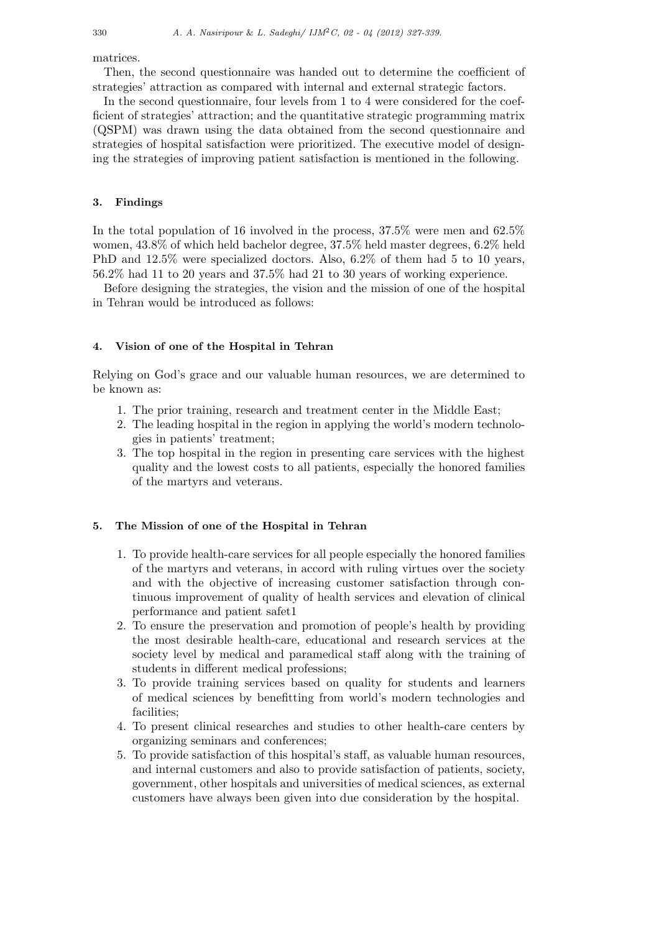matrices.

Then, the second questionnaire was handed out to determine the coefficient of strategies' attraction as compared with internal and external strategic factors.

In the second questionnaire, four levels from 1 to 4 were considered for the coefficient of strategies' attraction; and the quantitative strategic programming matrix (QSPM) was drawn using the data obtained from the second questionnaire and strategies of hospital satisfaction were prioritized. The executive model of designing the strategies of improving patient satisfaction is mentioned in the following.

### **3. Findings**

In the total population of 16 involved in the process, 37.5% were men and 62.5% women, 43.8% of which held bachelor degree, 37.5% held master degrees, 6.2% held PhD and 12.5% were specialized doctors. Also, 6.2% of them had 5 to 10 years, 56.2% had 11 to 20 years and 37.5% had 21 to 30 years of working experience.

Before designing the strategies, the vision and the mission of one of the hospital in Tehran would be introduced as follows:

### **4. Vision of one of the Hospital in Tehran**

Relying on God's grace and our valuable human resources, we are determined to be known as:

- 1. The prior training, research and treatment center in the Middle East;
- 2. The leading hospital in the region in applying the world's modern technologies in patients' treatment;
- 3. The top hospital in the region in presenting care services with the highest quality and the lowest costs to all patients, especially the honored families of the martyrs and veterans.

### **5. The Mission of one of the Hospital in Tehran**

- 1. To provide health-care services for all people especially the honored families of the martyrs and veterans, in accord with ruling virtues over the society and with the objective of increasing customer satisfaction through continuous improvement of quality of health services and elevation of clinical performance and patient safet1
- 2. To ensure the preservation and promotion of people's health by providing the most desirable health-care, educational and research services at the society level by medical and paramedical staff along with the training of students in different medical professions;
- 3. To provide training services based on quality for students and learners of medical sciences by benefitting from world's modern technologies and facilities;
- 4. To present clinical researches and studies to other health-care centers by organizing seminars and conferences;
- 5. To provide satisfaction of this hospital's staff, as valuable human resources, and internal customers and also to provide satisfaction of patients, society, government, other hospitals and universities of medical sciences, as external customers have always been given into due consideration by the hospital.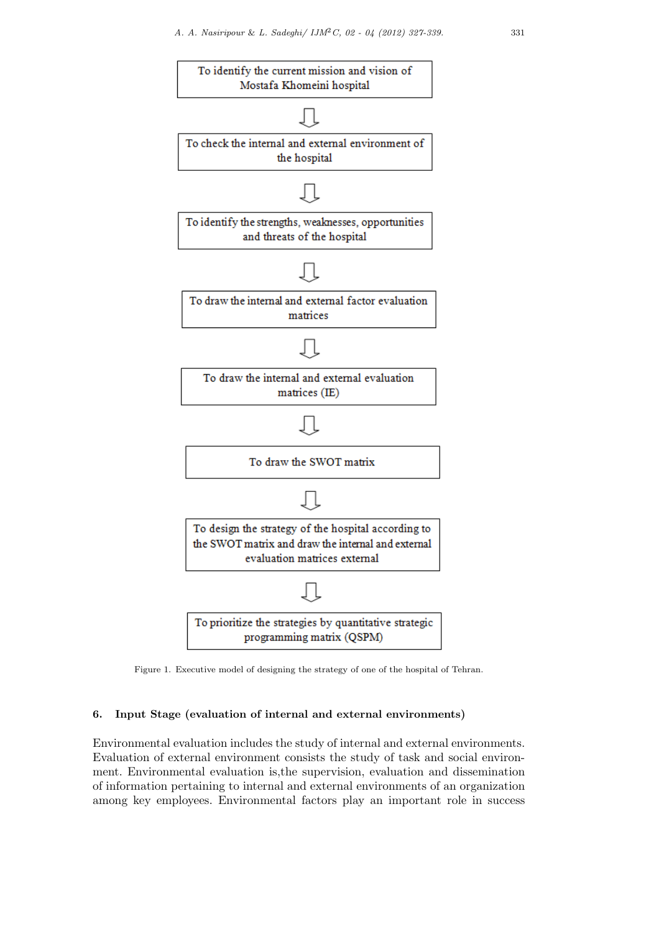

Figure 1. Executive model of designing the strategy of one of the hospital of Tehran.

## **6. Input Stage (evaluation of internal and external environments)**

Environmental evaluation includes the study of internal and external environments. Evaluation of external environment consists the study of task and social environment. Environmental evaluation is,the supervision, evaluation and dissemination of information pertaining to internal and external environments of an organization among key employees. Environmental factors play an important role in success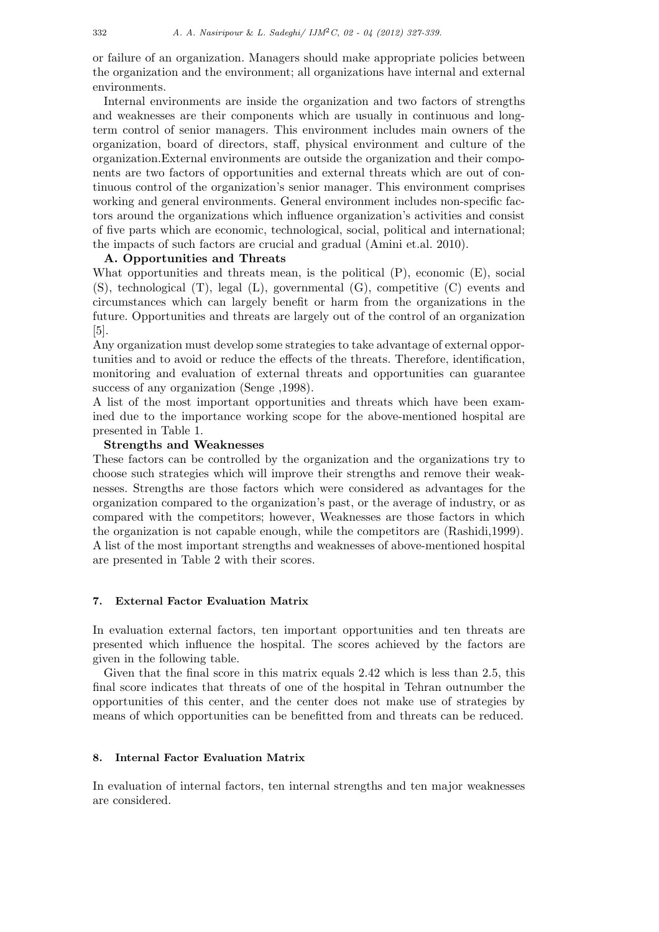or failure of an organization. Managers should make appropriate policies between the organization and the environment; all organizations have internal and external environments.

Internal environments are inside the organization and two factors of strengths and weaknesses are their components which are usually in continuous and longterm control of senior managers. This environment includes main owners of the organization, board of directors, staff, physical environment and culture of the organization.External environments are outside the organization and their components are two factors of opportunities and external threats which are out of continuous control of the organization's senior manager. This environment comprises working and general environments. General environment includes non-specific factors around the organizations which influence organization's activities and consist of five parts which are economic, technological, social, political and international; the impacts of such factors are crucial and gradual (Amini et.al. 2010).

### **A. Opportunities and Threats**

What opportunities and threats mean, is the political (P), economic (E), social (S), technological (T), legal (L), governmental (G), competitive (C) events and circumstances which can largely benefit or harm from the organizations in the future. Opportunities and threats are largely out of the control of an organization [5].

Any organization must develop some strategies to take advantage of external opportunities and to avoid or reduce the effects of the threats. Therefore, identification, monitoring and evaluation of external threats and opportunities can guarantee success of any organization (Senge ,1998).

A list of the most important opportunities and threats which have been examined due to the importance working scope for the above-mentioned hospital are presented in Table 1.

## **Strengths and Weaknesses**

These factors can be controlled by the organization and the organizations try to choose such strategies which will improve their strengths and remove their weaknesses. Strengths are those factors which were considered as advantages for the organization compared to the organization's past, or the average of industry, or as compared with the competitors; however, Weaknesses are those factors in which the organization is not capable enough, while the competitors are (Rashidi,1999). A list of the most important strengths and weaknesses of above-mentioned hospital are presented in Table 2 with their scores.

### **7. External Factor Evaluation Matrix**

In evaluation external factors, ten important opportunities and ten threats are presented which influence the hospital. The scores achieved by the factors are given in the following table.

Given that the final score in this matrix equals 2.42 which is less than 2.5, this final score indicates that threats of one of the hospital in Tehran outnumber the opportunities of this center, and the center does not make use of strategies by means of which opportunities can be benefitted from and threats can be reduced.

### **8. Internal Factor Evaluation Matrix**

In evaluation of internal factors, ten internal strengths and ten major weaknesses are considered.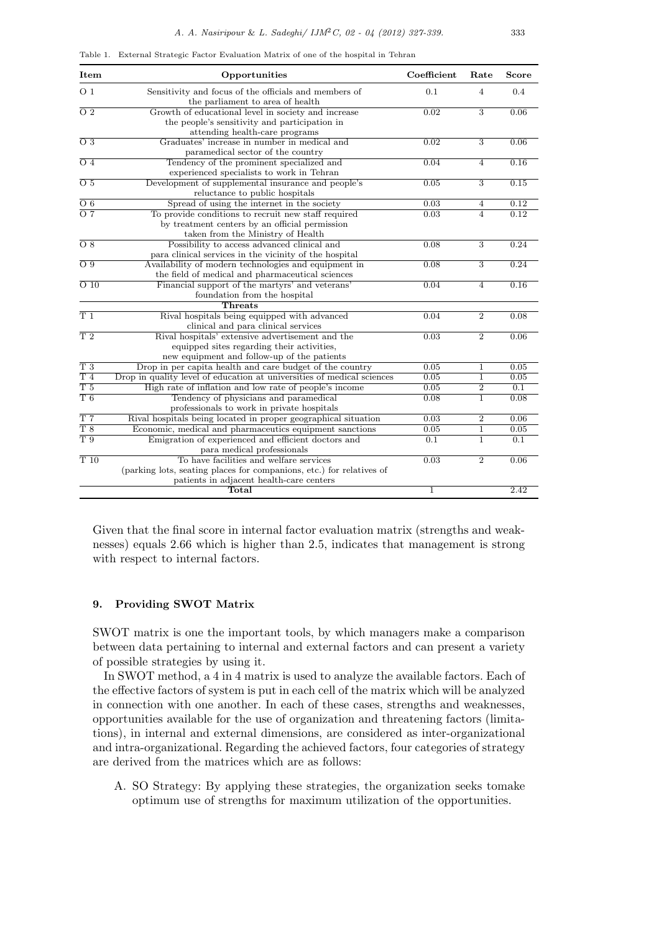|  |  |  |  | Table 1. External Strategic Factor Evaluation Matrix of one of the hospital in Tehran |  |  |  |  |  |  |  |
|--|--|--|--|---------------------------------------------------------------------------------------|--|--|--|--|--|--|--|
|--|--|--|--|---------------------------------------------------------------------------------------|--|--|--|--|--|--|--|

| Item              | Opportunities                                                                                                                                               | Coefficient          | Rate           | Score            |
|-------------------|-------------------------------------------------------------------------------------------------------------------------------------------------------------|----------------------|----------------|------------------|
| O <sub>1</sub>    | Sensitivity and focus of the officials and members of<br>the parliament to area of health                                                                   | 0.1                  | $\overline{4}$ | 0.4              |
| $\overline{O2}$   | Growth of educational level in society and increase<br>the people's sensitivity and participation in<br>attending health-care programs                      | 0.02                 | $\overline{3}$ | 0.06             |
| $\overline{O3}$   | Graduates' increase in number in medical and<br>paramedical sector of the country                                                                           | 0.02                 | $\overline{3}$ | 0.06             |
| $\overline{O4}$   | Tendency of the prominent specialized and<br>experienced specialists to work in Tehran                                                                      | 0.04                 | $\overline{4}$ | 0.16             |
| $\overline{O5}$   | Development of supplemental insurance and people's<br>reluctance to public hospitals                                                                        | 0.05                 | $\overline{3}$ | 0.15             |
| $\overline{O_6}$  | Spread of using the internet in the society                                                                                                                 | 0.03                 | 4              | 0.12             |
| $\overline{O}7$   | To provide conditions to recruit new staff required<br>by treatment centers by an official permission<br>taken from the Ministry of Health                  | 0.03                 | $\overline{4}$ | 0.12             |
| $\overline{O8}$   | Possibility to access advanced clinical and<br>para clinical services in the vicinity of the hospital                                                       | 0.08                 | $\overline{3}$ | 0.24             |
| $\overline{O.9}$  | Availability of modern technologies and equipment in<br>the field of medical and pharmaceutical sciences                                                    | 0.08                 | $\overline{3}$ | 0.24             |
| $\overline{O}$ 10 | Financial support of the martyrs' and veterans'<br>foundation from the hospital                                                                             | 0.04                 | $\overline{4}$ | 0.16             |
|                   | Threats                                                                                                                                                     |                      |                |                  |
| T1                | Rival hospitals being equipped with advanced<br>clinical and para clinical services                                                                         | 0.04                 | $\overline{2}$ | 0.08             |
| T <sub>2</sub>    | Rival hospitals' extensive advertisement and the<br>equipped sites regarding their activities,<br>new equipment and follow-up of the patients               | 0.03                 | $\overline{2}$ | 0.06             |
| $T_3$             | Drop in per capita health and care budget of the country                                                                                                    | 0.05                 | $\mathbf{1}$   | 0.05             |
| T <sub>4</sub>    | Drop in quality level of education at universities of medical sciences                                                                                      | 0.05                 | 1              | 0.05             |
| T <sub>5</sub>    | High rate of inflation and low rate of people's income                                                                                                      | 0.05                 | $\overline{2}$ | $\overline{0.1}$ |
| T6                | Tendency of physicians and paramedical<br>professionals to work in private hospitals                                                                        | 0.08                 | $\mathbf{1}$   | 0.08             |
| T <sub>7</sub>    | Rival hospitals being located in proper geographical situation                                                                                              | 0.03                 | $\overline{2}$ | 0.06             |
| T8                | Economic, medical and pharmaceutics equipment sanctions                                                                                                     | 0.05                 | $\mathbf 1$    | 0.05             |
| $\overline{T}9$   | Emigration of experienced and efficient doctors and<br>para medical professionals                                                                           | 0.1                  | 1              | $\overline{0.1}$ |
| T10               | To have facilities and welfare services<br>(parking lots, seating places for companions, etc.) for relatives of<br>patients in adjacent health-care centers | 0.03<br>$\mathbf{1}$ | $\overline{2}$ | 0.06             |
|                   | Total                                                                                                                                                       |                      |                | 2.42             |

Given that the final score in internal factor evaluation matrix (strengths and weaknesses) equals 2.66 which is higher than 2.5, indicates that management is strong with respect to internal factors.

### **9. Providing SWOT Matrix**

SWOT matrix is one the important tools, by which managers make a comparison between data pertaining to internal and external factors and can present a variety of possible strategies by using it.

In SWOT method, a 4 in 4 matrix is used to analyze the available factors. Each of the effective factors of system is put in each cell of the matrix which will be analyzed in connection with one another. In each of these cases, strengths and weaknesses, opportunities available for the use of organization and threatening factors (limitations), in internal and external dimensions, are considered as inter-organizational and intra-organizational. Regarding the achieved factors, four categories of strategy are derived from the matrices which are as follows:

A. SO Strategy: By applying these strategies, the organization seeks tomake optimum use of strengths for maximum utilization of the opportunities.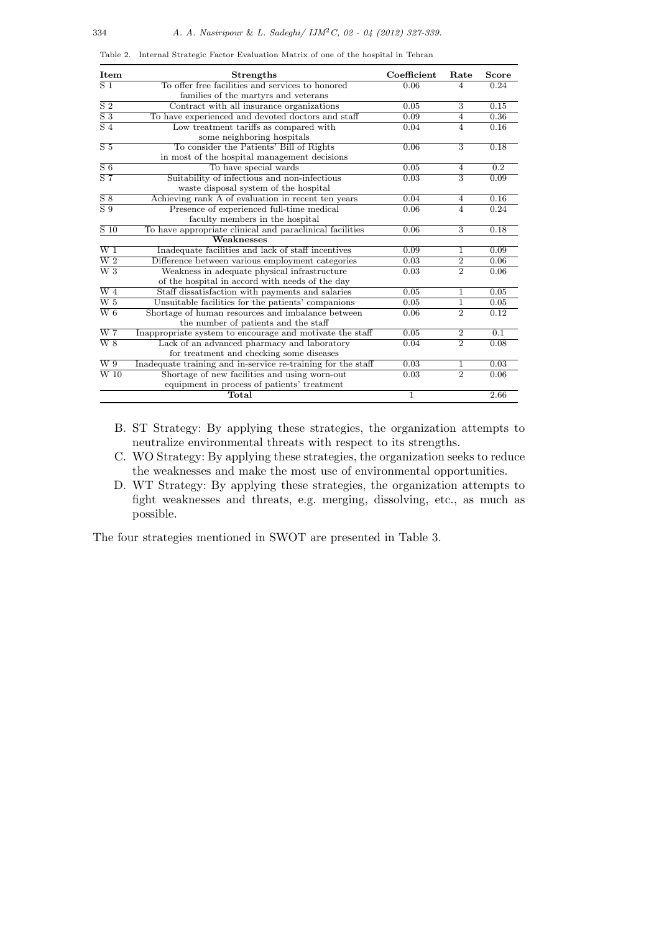| Item                    | <b>Strengths</b>                                             | Coefficient | Rate           | Score            |
|-------------------------|--------------------------------------------------------------|-------------|----------------|------------------|
| $\overline{S1}$         | To offer free facilities and services to honored             | 0.06        | 4              | 0.24             |
|                         | families of the martyrs and veterans                         |             |                |                  |
| $\overline{S2}$         | Contract with all insurance organizations                    | 0.05        | $\overline{3}$ | 0.15             |
| $\overline{S}3$         | To have experienced and devoted doctors and staff            | 0.09        | 4              | 0.36             |
| $\overline{S4}$         | Low treatment tariffs as compared with                       | 0.04        | $\overline{4}$ | 0.16             |
|                         | some neighboring hospitals                                   |             |                |                  |
| $\overline{S5}$         | To consider the Patients' Bill of Rights                     | 0.06        | $\overline{3}$ | 0.18             |
|                         | in most of the hospital management decisions                 |             |                |                  |
| $\overline{S6}$         | To have special wards                                        | 0.05        | 4              | $\overline{0.2}$ |
| $\overline{S}$ 7        | Suitability of infectious and non-infectious                 | 0.03        | $\overline{3}$ | 0.09             |
|                         | waste disposal system of the hospital                        |             |                |                  |
| $\overline{S8}$         | Achieving rank A of evaluation in recent ten years           | 0.04        | $\overline{4}$ | 0.16             |
| $\overline{S}9$         | Presence of experienced full-time medical                    | 0.06        | $\overline{4}$ | 0.24             |
|                         | faculty members in the hospital                              |             |                |                  |
| $\overline{S}$ 10       | To have appropriate clinical and paraclinical facilities     | 0.06        | $\overline{3}$ | 0.18             |
|                         | Weaknesses                                                   |             |                |                  |
| $\overline{W}$ 1        | Inadequate facilities and lack of staff incentives           | 0.09        | 1              | 0.09             |
| $\overline{\text{W 2}}$ | Difference between various employment categories             | 0.03        | $\overline{2}$ | 0.06             |
| $\overline{W3}$         | Weakness in adequate physical infrastructure                 | 0.03        | $\overline{2}$ | 0.06             |
|                         | of the hospital in accord with needs of the day              |             |                |                  |
| $\overline{W}$ 4        | Staff dissatisfaction with payments and salaries             | 0.05        | 1              | 0.05             |
| $\overline{\text{W 5}}$ | Unsuitable facilities for the patients' companions           | 0.05        | 1              | 0.05             |
| $\overline{W6}$         | Shortage of human resources and imbalance between            | 0.06        | $\overline{2}$ | 0.12             |
|                         | the number of patients and the staff                         |             |                |                  |
| $\overline{\text{W 7}}$ | Inappropriate system to encourage and motivate the staff     | 0.05        | $\overline{2}$ | $\overline{0.1}$ |
| $\overline{W8}$         | Lack of an advanced pharmacy and laboratory                  | 0.04        | $\overline{2}$ | 0.08             |
|                         | for treatment and checking some diseases                     |             |                |                  |
| $\overline{W_9}$        | Inadequate training and in-service re-training for the staff | 0.03        | 1              | 0.03             |
| $\overline{W}$ 10       | Shortage of new facilities and using worn-out                | 0.03        | $\overline{2}$ | 0.06             |
|                         | equipment in process of patients' treatment                  |             |                |                  |
|                         | Total                                                        | 1           |                | 2.66             |

Table 2. Internal Strategic Factor Evaluation Matrix of one of the hospital in Tehran

- B. ST Strategy: By applying these strategies, the organization attempts to neutralize environmental threats with respect to its strengths.
- C. WO Strategy: By applying these strategies, the organization seeks to reduce the weaknesses and make the most use of environmental opportunities.
- D. WT Strategy: By applying these strategies, the organization attempts to fight weaknesses and threats, e.g. merging, dissolving, etc., as much as possible.

The four strategies mentioned in SWOT are presented in Table 3.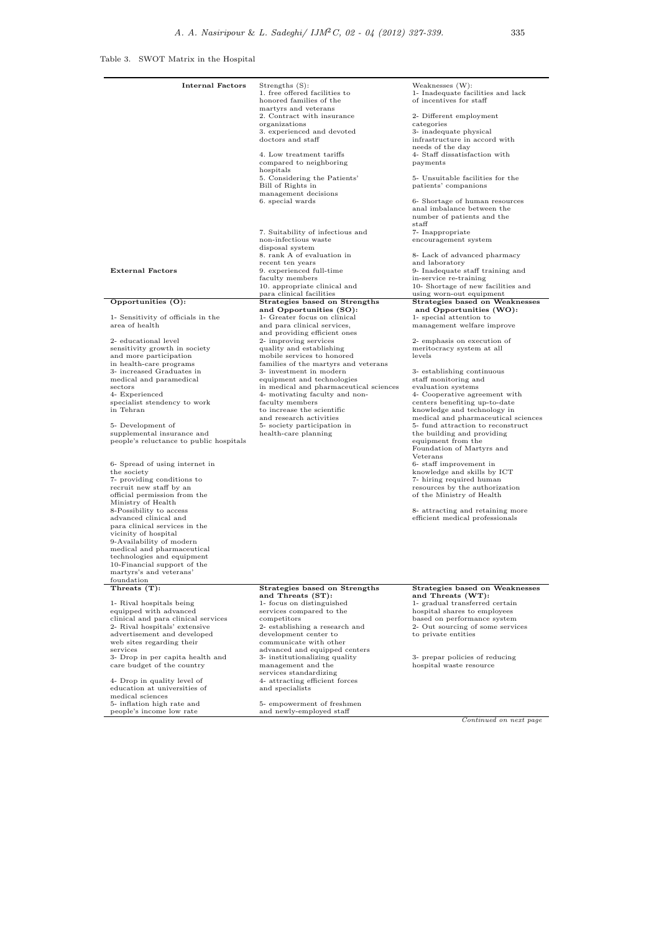Table 3. SWOT Matrix in the Hospital

| <b>Internal Factors</b>                                                                                                                                                                                                                                                                                                                                                                                                                                                                                                                                                                                                                                                                                                                   | Strengths $(S)$ :<br>1. free offered facilities to<br>honored families of the<br>martyrs and veterans<br>2. Contract with insurance<br>organizations<br>3. experienced and devoted<br>doctors and staff<br>4. Low treatment tariffs<br>compared to neighboring<br>hospitals<br>5. Considering the Patients'<br>Bill of Rights in<br>management decisions<br>6. special wards<br>7. Suitability of infectious and<br>non-infectious waste<br>disposal system<br>8. rank A of evaluation in<br>recent ten years             | Weaknesses (W):<br>1- Inadequate facilities and lack<br>of incentives for staff<br>2- Different employment<br>categories<br>3- inadequate physical<br>infrastructure in accord with<br>needs of the day<br>4- Staff dissatisfaction with<br>payments<br>5- Unsuitable facilities for the<br>patients' companions<br>6- Shortage of human resources<br>anal imbalance between the<br>number of patients and the<br>$_{\rm statf}$<br>7- Inappropriate<br>encouragement system<br>8- Lack of advanced pharmacy<br>and laboratory                                                                                                                                                                                                           |
|-------------------------------------------------------------------------------------------------------------------------------------------------------------------------------------------------------------------------------------------------------------------------------------------------------------------------------------------------------------------------------------------------------------------------------------------------------------------------------------------------------------------------------------------------------------------------------------------------------------------------------------------------------------------------------------------------------------------------------------------|---------------------------------------------------------------------------------------------------------------------------------------------------------------------------------------------------------------------------------------------------------------------------------------------------------------------------------------------------------------------------------------------------------------------------------------------------------------------------------------------------------------------------|------------------------------------------------------------------------------------------------------------------------------------------------------------------------------------------------------------------------------------------------------------------------------------------------------------------------------------------------------------------------------------------------------------------------------------------------------------------------------------------------------------------------------------------------------------------------------------------------------------------------------------------------------------------------------------------------------------------------------------------|
| <b>External Factors</b>                                                                                                                                                                                                                                                                                                                                                                                                                                                                                                                                                                                                                                                                                                                   | 9. experienced full-time<br>faculty members<br>10. appropriate clinical and<br>para clinical facilities                                                                                                                                                                                                                                                                                                                                                                                                                   | 9- Inadequate staff training and<br>in-service re-training<br>10- Shortage of new facilities and<br>using worn-out equipment                                                                                                                                                                                                                                                                                                                                                                                                                                                                                                                                                                                                             |
| Opportunities (O):                                                                                                                                                                                                                                                                                                                                                                                                                                                                                                                                                                                                                                                                                                                        | Strategies based on Strengths                                                                                                                                                                                                                                                                                                                                                                                                                                                                                             | Strategies based on Weaknesses                                                                                                                                                                                                                                                                                                                                                                                                                                                                                                                                                                                                                                                                                                           |
| 1- Sensitivity of officials in the<br>area of health<br>2- educational level<br>sensitivity growth in society<br>and more participation<br>in health-care programs<br>3- increased Graduates in<br>medical and paramedical<br>sectors<br>4- Experienced<br>specialist stendency to work<br>in Tehran<br>5- Development of<br>supplemental insurance and<br>people's reluctance to public hospitals<br>6- Spread of using internet in<br>the society<br>7- providing conditions to<br>recruit new staff by an<br>official permission from the<br>Ministry of Health<br>8-Possibility to access<br>advanced clinical and<br>para clinical services in the<br>vicinity of hospital<br>9-Availability of modern<br>medical and pharmaceutical | and Opportunities (SO):<br>1- Greater focus on clinical<br>and para clinical services,<br>and providing efficient ones<br>2- improving services<br>quality and establishing<br>mobile services to honored<br>families of the martyrs and veterans<br>3- investment in modern<br>equipment and technologies<br>in medical and pharmaceutical sciences<br>4- motivating faculty and non-<br>faculty members<br>to increase the scientific<br>and research activities<br>5- society participation in<br>health-care planning | and Opportunities (WO):<br>1- special attention to<br>management welfare improve<br>2- emphasis on execution of<br>meritocracy system at all<br>levels<br>3- establishing continuous<br>staff monitoring and<br>evaluation systems<br>4- Cooperative agreement with<br>centers benefiting up-to-date<br>knowledge and technology in<br>medical and pharmaceutical sciences<br>5- fund attraction to reconstruct<br>the building and providing<br>equipment from the<br>Foundation of Martyrs and<br>Veterans<br>6- staff improvement in<br>knowledge and skills by ICT<br>7- hiring required human<br>resources by the authorization<br>of the Ministry of Health<br>8- attracting and retaining more<br>efficient medical professionals |
| technologies and equipment<br>10-Financial support of the<br>martyrs's and veterans'<br>foundation                                                                                                                                                                                                                                                                                                                                                                                                                                                                                                                                                                                                                                        |                                                                                                                                                                                                                                                                                                                                                                                                                                                                                                                           |                                                                                                                                                                                                                                                                                                                                                                                                                                                                                                                                                                                                                                                                                                                                          |
| Threats (T):                                                                                                                                                                                                                                                                                                                                                                                                                                                                                                                                                                                                                                                                                                                              | Strategies based on Strengths                                                                                                                                                                                                                                                                                                                                                                                                                                                                                             | Strategies based on Weaknesses                                                                                                                                                                                                                                                                                                                                                                                                                                                                                                                                                                                                                                                                                                           |
| 1- Rival hospitals being<br>equipped with advanced<br>clinical and para clinical services<br>2- Rival hospitals' extensive<br>advertisement and developed<br>web sites regarding their<br>services<br>3- Drop in per capita health and<br>care budget of the country<br>4- Drop in quality level of<br>education at universities of                                                                                                                                                                                                                                                                                                                                                                                                       | and Threats (ST):<br>1- focus on distinguished<br>services compared to the<br>competitors<br>2- establishing a research and<br>development center to<br>communicate with other<br>advanced and equipped centers<br>3- institutionalizing quality<br>management and the<br>services standardizing<br>4- attracting efficient forces<br>and specialists                                                                                                                                                                     | and Threats (WT):<br>1- gradual transferred certain<br>hospital shares to employees<br>based on performance system<br>2- Out sourcing of some services<br>to private entities<br>3- prepar policies of reducing<br>hospital waste resource                                                                                                                                                                                                                                                                                                                                                                                                                                                                                               |
| medical sciences<br>5- inflation high rate and<br>people's income low rate                                                                                                                                                                                                                                                                                                                                                                                                                                                                                                                                                                                                                                                                | 5- empowerment of freshmen<br>and newly-employed staff                                                                                                                                                                                                                                                                                                                                                                                                                                                                    |                                                                                                                                                                                                                                                                                                                                                                                                                                                                                                                                                                                                                                                                                                                                          |

*Continued on next page*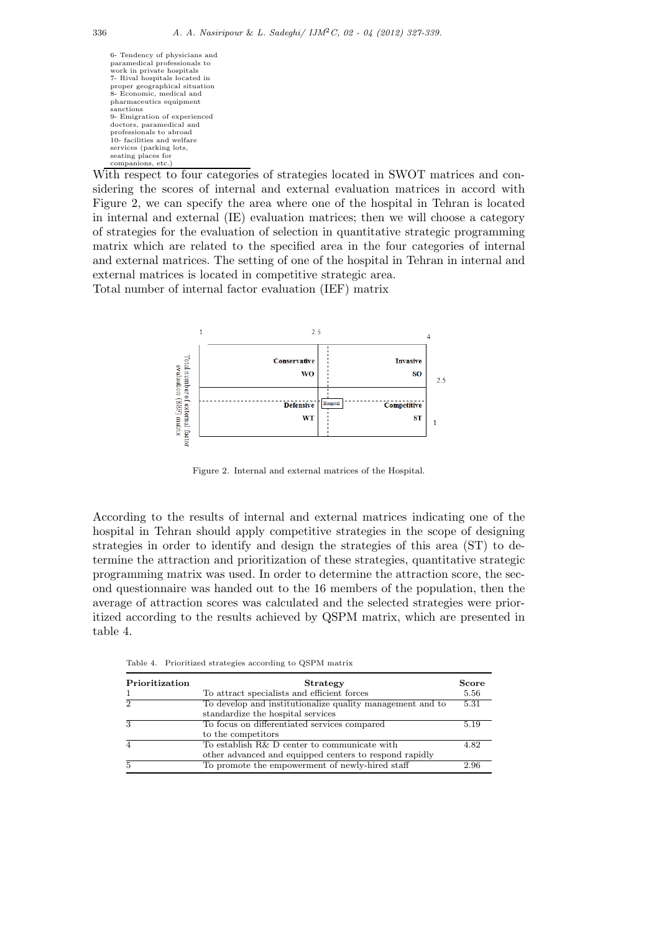6- Tendency of physicians and paramedical professionals to work in private hospitals 7- Rival hospitals located in proper geographical situation 8- Economic, medical and pharmaceutics equipment sanctions 9- Emigration of experienced doctors, paramedical and professionals to abroad 10- facilities and welfare services (parking lots, seating places for companions, etc.)

With respect to four categories of strategies located in SWOT matrices and considering the scores of internal and external evaluation matrices in accord with Figure 2, we can specify the area where one of the hospital in Tehran is located in internal and external (IE) evaluation matrices; then we will choose a category of strategies for the evaluation of selection in quantitative strategic programming matrix which are related to the specified area in the four categories of internal and external matrices. The setting of one of the hospital in Tehran in internal and external matrices is located in competitive strategic area.

Total number of internal factor evaluation (IEF) matrix



Figure 2. Internal and external matrices of the Hospital.

According to the results of internal and external matrices indicating one of the hospital in Tehran should apply competitive strategies in the scope of designing strategies in order to identify and design the strategies of this area (ST) to determine the attraction and prioritization of these strategies, quantitative strategic programming matrix was used. In order to determine the attraction score, the second questionnaire was handed out to the 16 members of the population, then the average of attraction scores was calculated and the selected strategies were prioritized according to the results achieved by QSPM matrix, which are presented in table 4.

Table 4. Prioritized strategies according to QSPM matrix

| ${\bf Prioritization}$ | <b>Strategy</b>                                           | Score |
|------------------------|-----------------------------------------------------------|-------|
|                        | To attract specialists and efficient forces               | 5.56  |
| $\overline{2}$         | To develop and institutionalize quality management and to | 5.31  |
|                        | standardize the hospital services                         |       |
| 3                      | To focus on differentiated services compared              | 5.19  |
|                        | to the competitors                                        |       |
|                        | To establish R& D center to communicate with              | 4.82  |
|                        | other advanced and equipped centers to respond rapidly    |       |
|                        | To promote the empowerment of newly-hired staff           | 2.96  |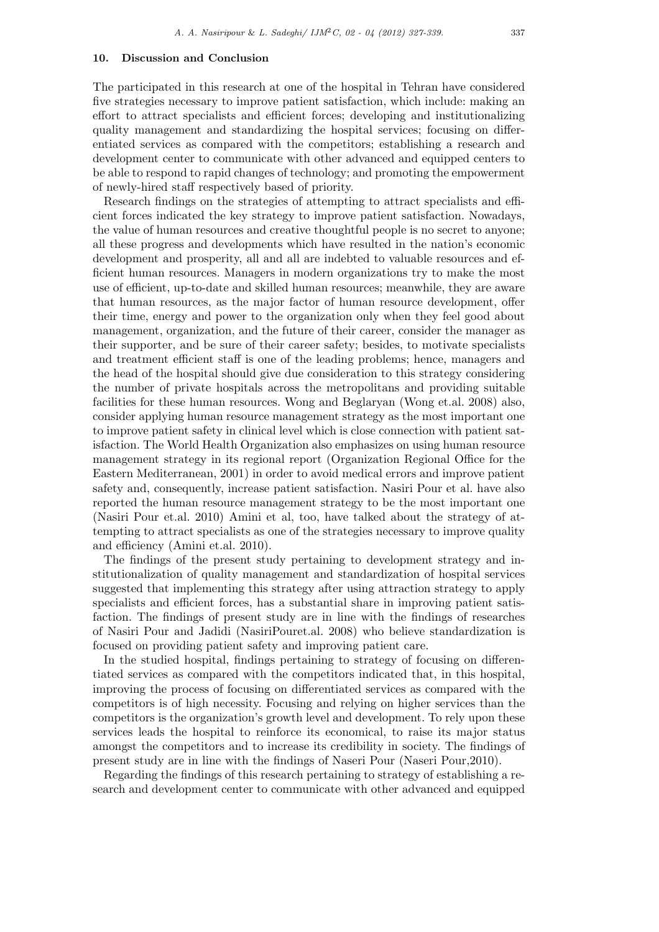### **10. Discussion and Conclusion**

The participated in this research at one of the hospital in Tehran have considered five strategies necessary to improve patient satisfaction, which include: making an effort to attract specialists and efficient forces; developing and institutionalizing quality management and standardizing the hospital services; focusing on differentiated services as compared with the competitors; establishing a research and development center to communicate with other advanced and equipped centers to be able to respond to rapid changes of technology; and promoting the empowerment of newly-hired staff respectively based of priority.

Research findings on the strategies of attempting to attract specialists and efficient forces indicated the key strategy to improve patient satisfaction. Nowadays, the value of human resources and creative thoughtful people is no secret to anyone; all these progress and developments which have resulted in the nation's economic development and prosperity, all and all are indebted to valuable resources and efficient human resources. Managers in modern organizations try to make the most use of efficient, up-to-date and skilled human resources; meanwhile, they are aware that human resources, as the major factor of human resource development, offer their time, energy and power to the organization only when they feel good about management, organization, and the future of their career, consider the manager as their supporter, and be sure of their career safety; besides, to motivate specialists and treatment efficient staff is one of the leading problems; hence, managers and the head of the hospital should give due consideration to this strategy considering the number of private hospitals across the metropolitans and providing suitable facilities for these human resources. Wong and Beglaryan (Wong et.al. 2008) also, consider applying human resource management strategy as the most important one to improve patient safety in clinical level which is close connection with patient satisfaction. The World Health Organization also emphasizes on using human resource management strategy in its regional report (Organization Regional Office for the Eastern Mediterranean, 2001) in order to avoid medical errors and improve patient safety and, consequently, increase patient satisfaction. Nasiri Pour et al. have also reported the human resource management strategy to be the most important one (Nasiri Pour et.al. 2010) Amini et al, too, have talked about the strategy of attempting to attract specialists as one of the strategies necessary to improve quality and efficiency (Amini et.al. 2010).

The findings of the present study pertaining to development strategy and institutionalization of quality management and standardization of hospital services suggested that implementing this strategy after using attraction strategy to apply specialists and efficient forces, has a substantial share in improving patient satisfaction. The findings of present study are in line with the findings of researches of Nasiri Pour and Jadidi (NasiriPouret.al. 2008) who believe standardization is focused on providing patient safety and improving patient care.

In the studied hospital, findings pertaining to strategy of focusing on differentiated services as compared with the competitors indicated that, in this hospital, improving the process of focusing on differentiated services as compared with the competitors is of high necessity. Focusing and relying on higher services than the competitors is the organization's growth level and development. To rely upon these services leads the hospital to reinforce its economical, to raise its major status amongst the competitors and to increase its credibility in society. The findings of present study are in line with the findings of Naseri Pour (Naseri Pour,2010).

Regarding the findings of this research pertaining to strategy of establishing a research and development center to communicate with other advanced and equipped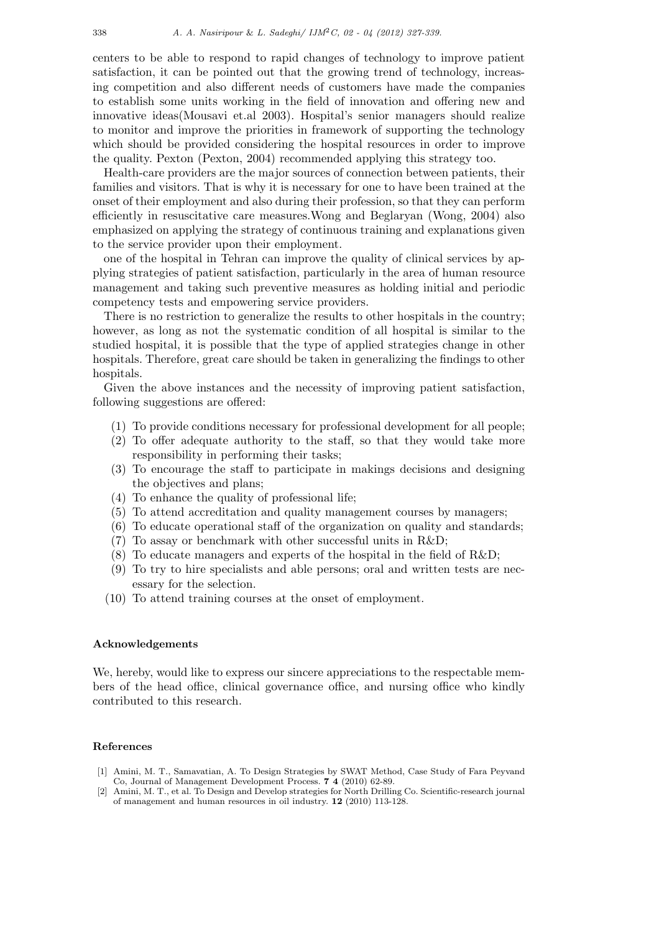centers to be able to respond to rapid changes of technology to improve patient satisfaction, it can be pointed out that the growing trend of technology, increasing competition and also different needs of customers have made the companies to establish some units working in the field of innovation and offering new and innovative ideas(Mousavi et.al 2003). Hospital's senior managers should realize to monitor and improve the priorities in framework of supporting the technology which should be provided considering the hospital resources in order to improve the quality. Pexton (Pexton, 2004) recommended applying this strategy too.

Health-care providers are the major sources of connection between patients, their families and visitors. That is why it is necessary for one to have been trained at the onset of their employment and also during their profession, so that they can perform efficiently in resuscitative care measures.Wong and Beglaryan (Wong, 2004) also emphasized on applying the strategy of continuous training and explanations given to the service provider upon their employment.

one of the hospital in Tehran can improve the quality of clinical services by applying strategies of patient satisfaction, particularly in the area of human resource management and taking such preventive measures as holding initial and periodic competency tests and empowering service providers.

There is no restriction to generalize the results to other hospitals in the country; however, as long as not the systematic condition of all hospital is similar to the studied hospital, it is possible that the type of applied strategies change in other hospitals. Therefore, great care should be taken in generalizing the findings to other hospitals.

Given the above instances and the necessity of improving patient satisfaction, following suggestions are offered:

- (1) To provide conditions necessary for professional development for all people;
- (2) To offer adequate authority to the staff, so that they would take more responsibility in performing their tasks;
- (3) To encourage the staff to participate in makings decisions and designing the objectives and plans;
- (4) To enhance the quality of professional life;
- (5) To attend accreditation and quality management courses by managers;
- (6) To educate operational staff of the organization on quality and standards;
- (7) To assay or benchmark with other successful units in R&D;
- (8) To educate managers and experts of the hospital in the field of R&D;
- (9) To try to hire specialists and able persons; oral and written tests are necessary for the selection.
- (10) To attend training courses at the onset of employment.

#### **Acknowledgements**

We, hereby, would like to express our sincere appreciations to the respectable members of the head office, clinical governance office, and nursing office who kindly contributed to this research.

#### **References**

- [1] Amini, M. T., Samavatian, A. To Design Strategies by SWAT Method, Case Study of Fara Peyvand Co, Journal of Management Development Process. **7 4** (2010) 62-89.
- [2] Amini, M. T., et al. To Design and Develop strategies for North Drilling Co. Scientific-research journal of management and human resources in oil industry. **12** (2010) 113-128.